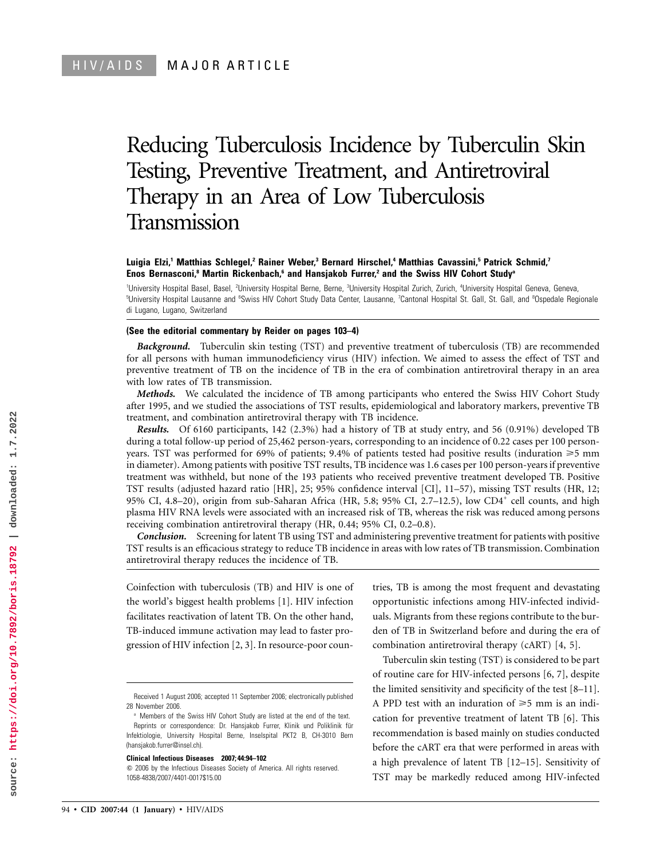# Reducing Tuberculosis Incidence by Tuberculin Skin Testing, Preventive Treatment, and Antiretroviral Therapy in an Area of Low Tuberculosis **Transmission**

# **Luigia Elzi,1 Matthias Schlegel,2 Rainer Weber,3 Bernard Hirschel,4 Matthias Cavassini,5 Patrick Schmid,7 Enos Bernasconi,8 Martin Rickenbach,6 and Hansjakob Furrer,2 and the Swiss HIV Cohort Studya**

'University Hospital Basel, Basel, <sup>2</sup>University Hospital Berne, Berne, <sup>3</sup>University Hospital Zurich, Zurich, <sup>4</sup>University Hospital Geneva, Geneva, <sup>5</sup>University Hospital Lausanne and <sup>6</sup>Swiss HIV Cohort Study Data Center, Lausanne, <sup>7</sup>Cantonal Hospital St. Gall, St. Gall, and <sup>8</sup>Ospedale Regionale di Lugano, Lugano, Switzerland

#### **(See the editorial commentary by Reider on pages 103–4)**

*Background.* Tuberculin skin testing (TST) and preventive treatment of tuberculosis (TB) are recommended for all persons with human immunodeficiency virus (HIV) infection. We aimed to assess the effect of TST and preventive treatment of TB on the incidence of TB in the era of combination antiretroviral therapy in an area with low rates of TB transmission.

*Methods.* We calculated the incidence of TB among participants who entered the Swiss HIV Cohort Study after 1995, and we studied the associations of TST results, epidemiological and laboratory markers, preventive TB treatment, and combination antiretroviral therapy with TB incidence.

*Results.* Of 6160 participants, 142 (2.3%) had a history of TB at study entry, and 56 (0.91%) developed TB during a total follow-up period of 25,462 person-years, corresponding to an incidence of 0.22 cases per 100 personyears. TST was performed for 69% of patients; 9.4% of patients tested had positive results (induration  $\geq 5$  mm in diameter). Among patients with positive TST results, TB incidence was 1.6 cases per 100 person-years if preventive treatment was withheld, but none of the 193 patients who received preventive treatment developed TB. Positive TST results (adjusted hazard ratio [HR], 25; 95% confidence interval [CI], 11–57), missing TST results (HR, 12; 95% CI, 4.8–20), origin from sub-Saharan Africa (HR, 5.8; 95% CI, 2.7–12.5), low CD4<sup>+</sup> cell counts, and high plasma HIV RNA levels were associated with an increased risk of TB, whereas the risk was reduced among persons receiving combination antiretroviral therapy (HR, 0.44; 95% CI, 0.2–0.8).

*Conclusion.* Screening for latent TB using TST and administering preventive treatment for patients with positive TST results is an efficacious strategy to reduce TB incidence in areas with low rates of TB transmission. Combination antiretroviral therapy reduces the incidence of TB.

Coinfection with tuberculosis (TB) and HIV is one of the world's biggest health problems [1]. HIV infection facilitates reactivation of latent TB. On the other hand, TB-induced immune activation may lead to faster progression of HIV infection [2, 3]. In resource-poor coun-

**Clinical Infectious Diseases 2007; 44:94–102**

tries, TB is among the most frequent and devastating opportunistic infections among HIV-infected individuals. Migrants from these regions contribute to the burden of TB in Switzerland before and during the era of combination antiretroviral therapy (cART) [4, 5].

Tuberculin skin testing (TST) is considered to be part of routine care for HIV-infected persons [6, 7], despite the limited sensitivity and specificity of the test [8–11]. A PPD test with an induration of  $\geq 5$  mm is an indication for preventive treatment of latent TB [6]. This recommendation is based mainly on studies conducted before the cART era that were performed in areas with a high prevalence of latent TB [12–15]. Sensitivity of TST may be markedly reduced among HIV-infected

Received 1 August 2006; accepted 11 September 2006; electronically published 28 November 2006.

<sup>a</sup> Members of the Swiss HIV Cohort Study are listed at the end of the text. Reprints or correspondence: Dr. Hansjakob Furrer, Klinik und Poliklinik für Infektiologie, University Hospital Berne, Inselspital PKT2 B, CH-3010 Bern (hansjakob.furrer@insel.ch).

 $\odot$  2006 by the Infectious Diseases Society of America. All rights reserved. 1058-4838/2007/4401-0017\$15.00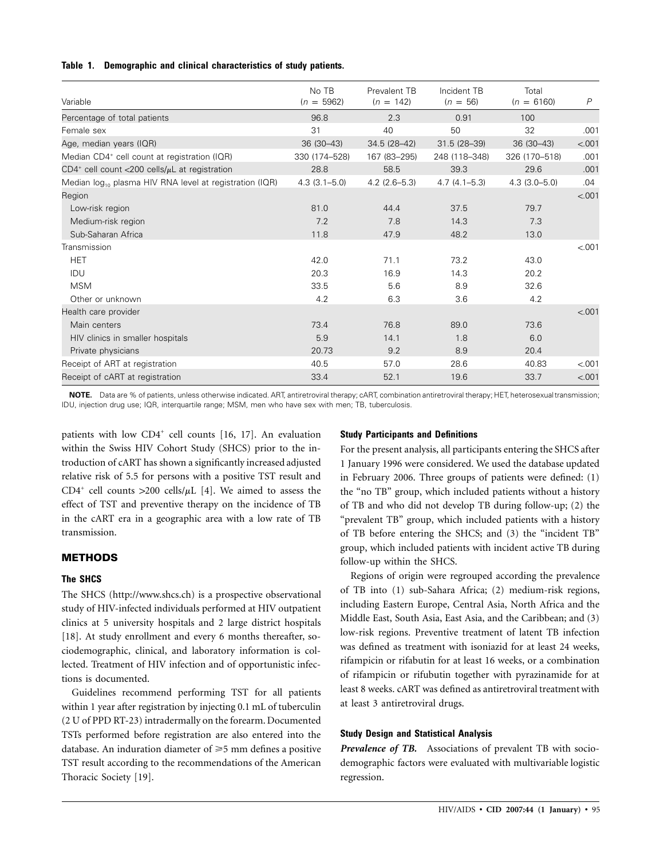## **Table 1. Demographic and clinical characteristics of study patients.**

| Variable                                                        | No TB<br>$(n = 5962)$ | Prevalent TB<br>$(n = 142)$ | Incident TB<br>$(n = 56)$ | Total<br>$(n = 6160)$ | $\mathsf{P}$ |
|-----------------------------------------------------------------|-----------------------|-----------------------------|---------------------------|-----------------------|--------------|
| Percentage of total patients                                    | 96.8                  | 2.3                         | 0.91                      | 100                   |              |
| Female sex                                                      | 31                    | 40                          | 50                        | 32                    | .001         |
| Age, median years (IQR)                                         | $36(30-43)$           | $34.5(28-42)$               | $31.5(28 - 39)$           | $36(30-43)$           | < .001       |
| Median CD4 <sup>+</sup> cell count at registration (IQR)        | 330 (174-528)         | 167 (83-295)                | 248 (118-348)             | 326 (170-518)         | .001         |
| CD4 <sup>+</sup> cell count <200 cells/ $\mu$ L at registration | 28.8                  | 58.5                        | 39.3                      | 29.6                  | .001         |
| Median $log_{10}$ plasma HIV RNA level at registration (IQR)    | $4.3(3.1 - 5.0)$      | $4.2$ (2.6–5.3)             | $4.7(4.1 - 5.3)$          | $4.3(3.0 - 5.0)$      | .04          |
| Region                                                          |                       |                             |                           |                       | < .001       |
| Low-risk region                                                 | 81.0                  | 44.4                        | 37.5                      | 79.7                  |              |
| Medium-risk region                                              | 7.2                   | 7.8                         | 14.3                      | 7.3                   |              |
| Sub-Saharan Africa                                              | 11.8                  | 47.9                        | 48.2                      | 13.0                  |              |
| Transmission                                                    |                       |                             |                           |                       | $-.001$      |
| <b>HET</b>                                                      | 42.0                  | 71.1                        | 73.2                      | 43.0                  |              |
| IDU                                                             | 20.3                  | 16.9                        | 14.3                      | 20.2                  |              |
| <b>MSM</b>                                                      | 33.5                  | 5.6                         | 8.9                       | 32.6                  |              |
| Other or unknown                                                | 4.2                   | 6.3                         | 3.6                       | 4.2                   |              |
| Health care provider                                            |                       |                             |                           |                       | $-.001$      |
| Main centers                                                    | 73.4                  | 76.8                        | 89.0                      | 73.6                  |              |
| HIV clinics in smaller hospitals                                | 5.9                   | 14.1                        | 1.8                       | 6.0                   |              |
| Private physicians                                              | 20.73                 | 9.2                         | 8.9                       | 20.4                  |              |
| Receipt of ART at registration                                  | 40.5                  | 57.0                        | 28.6                      | 40.83                 | < 0.001      |
| Receipt of cART at registration                                 | 33.4                  | 52.1                        | 19.6                      | 33.7                  | < .001       |

**NOTE.** Data are % of patients, unless otherwise indicated. ART, antiretroviral therapy; cART, combination antiretroviral therapy; HET, heterosexualtransmission; IDU, injection drug use; IQR, interquartile range; MSM, men who have sex with men; TB, tuberculosis.

patients with low  $CD4^+$  cell counts [16, 17]. An evaluation within the Swiss HIV Cohort Study (SHCS) prior to the introduction of cART has shown a significantly increased adjusted relative risk of 5.5 for persons with a positive TST result and CD4<sup>+</sup> cell counts >200 cells/ $\mu$ L [4]. We aimed to assess the effect of TST and preventive therapy on the incidence of TB in the cART era in a geographic area with a low rate of TB transmission.

# **METHODS**

# **The SHCS**

The SHCS (http://www.shcs.ch) is a prospective observational study of HIV-infected individuals performed at HIV outpatient clinics at 5 university hospitals and 2 large district hospitals [18]. At study enrollment and every 6 months thereafter, sociodemographic, clinical, and laboratory information is collected. Treatment of HIV infection and of opportunistic infections is documented.

Guidelines recommend performing TST for all patients within 1 year after registration by injecting 0.1 mL of tuberculin (2 U of PPD RT-23) intradermally on the forearm. Documented TSTs performed before registration are also entered into the database. An induration diameter of  $\geq 5$  mm defines a positive TST result according to the recommendations of the American Thoracic Society [19].

#### **Study Participants and Definitions**

For the present analysis, all participants entering the SHCS after 1 January 1996 were considered. We used the database updated in February 2006. Three groups of patients were defined: (1) the "no TB" group, which included patients without a history of TB and who did not develop TB during follow-up; (2) the "prevalent TB" group, which included patients with a history of TB before entering the SHCS; and (3) the "incident TB" group, which included patients with incident active TB during follow-up within the SHCS.

Regions of origin were regrouped according the prevalence of TB into (1) sub-Sahara Africa; (2) medium-risk regions, including Eastern Europe, Central Asia, North Africa and the Middle East, South Asia, East Asia, and the Caribbean; and (3) low-risk regions. Preventive treatment of latent TB infection was defined as treatment with isoniazid for at least 24 weeks, rifampicin or rifabutin for at least 16 weeks, or a combination of rifampicin or rifubutin together with pyrazinamide for at least 8 weeks. cART was defined as antiretroviral treatment with at least 3 antiretroviral drugs.

# **Study Design and Statistical Analysis**

*Prevalence of TB.* Associations of prevalent TB with sociodemographic factors were evaluated with multivariable logistic regression.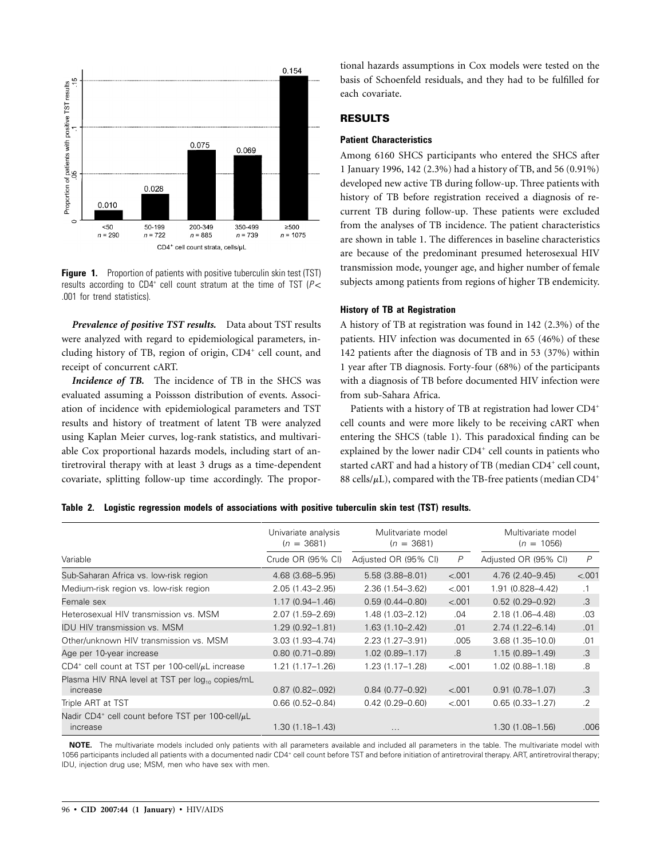

**Figure 1.** Proportion of patients with positive tuberculin skin test (TST) results according to CD4<sup>+</sup> cell count stratum at the time of TST ( $P$  < .001 for trend statistics).

*Prevalence of positive TST results.* Data about TST results were analyzed with regard to epidemiological parameters, including history of TB, region of origin, CD4<sup>+</sup> cell count, and receipt of concurrent cART.

*Incidence of TB.* The incidence of TB in the SHCS was evaluated assuming a Poissson distribution of events. Association of incidence with epidemiological parameters and TST results and history of treatment of latent TB were analyzed using Kaplan Meier curves, log-rank statistics, and multivariable Cox proportional hazards models, including start of antiretroviral therapy with at least 3 drugs as a time-dependent covariate, splitting follow-up time accordingly. The propor-

tional hazards assumptions in Cox models were tested on the basis of Schoenfeld residuals, and they had to be fulfilled for each covariate.

# **RESULTS**

#### **Patient Characteristics**

Among 6160 SHCS participants who entered the SHCS after 1 January 1996, 142 (2.3%) had a history of TB, and 56 (0.91%) developed new active TB during follow-up. Three patients with history of TB before registration received a diagnosis of recurrent TB during follow-up. These patients were excluded from the analyses of TB incidence. The patient characteristics are shown in table 1. The differences in baseline characteristics are because of the predominant presumed heterosexual HIV transmission mode, younger age, and higher number of female subjects among patients from regions of higher TB endemicity.

#### **History of TB at Registration**

A history of TB at registration was found in 142 (2.3%) of the patients. HIV infection was documented in 65 (46%) of these 142 patients after the diagnosis of TB and in 53 (37%) within 1 year after TB diagnosis. Forty-four (68%) of the participants with a diagnosis of TB before documented HIV infection were from sub-Sahara Africa.

Patients with a history of TB at registration had lower CD4+ cell counts and were more likely to be receiving cART when entering the SHCS (table 1). This paradoxical finding can be explained by the lower nadir CD4<sup>+</sup> cell counts in patients who started cART and had a history of TB (median CD4<sup>+</sup> cell count, 88 cells/ $\mu$ L), compared with the TB-free patients (median CD4<sup>+</sup>

**Table 2. Logistic regression models of associations with positive tuberculin skin test (TST) results.**

|                                                                                | Univariate analysis<br>$(n = 3681)$ | Mulitvariate model<br>$(n = 3681)$ |                | Multivariate model<br>$(n = 1056)$ |            |
|--------------------------------------------------------------------------------|-------------------------------------|------------------------------------|----------------|------------------------------------|------------|
| Variable                                                                       | Crude OR (95% CI)                   | Adjusted OR (95% CI)               | $\overline{P}$ | Adjusted OR (95% CI)               | P          |
| Sub-Saharan Africa vs. low-risk region                                         | 4.68 (3.68–5.95)                    | 5.58 (3.88-8.01)                   | < .001         | 4.76 (2.40–9.45)                   | < .001     |
| Medium-risk region vs. low-risk region                                         | $2.05(1.43 - 2.95)$                 | 2.36 (1.54-3.62)                   | < 001          | 1.91 (0.828-4.42)                  | $\cdot$ 1  |
| Female sex                                                                     | $1.17(0.94 - 1.46)$                 | $0.59(0.44 - 0.80)$                | < .001         | $0.52(0.29 - 0.92)$                | $\cdot$ 3  |
| Heterosexual HIV transmission vs. MSM                                          | $2.07(1.59 - 2.69)$                 | $1.48(1.03 - 2.12)$                | .04            | 2.18 (1.06-4.48)                   | .03        |
| <b>IDU HIV transmission vs. MSM</b>                                            | $1.29(0.92 - 1.81)$                 | $1.63(1.10 - 2.42)$                | .01            | $2.74(1.22 - 6.14)$                | .01        |
| Other/unknown HIV transmission vs. MSM                                         | $3.03(1.93 - 4.74)$                 | $2.23(1.27 - 3.91)$                | .005           | $3.68(1.35 - 10.0)$                | .01        |
| Age per 10-year increase                                                       | $0.80(0.71 - 0.89)$                 | $1.02(0.89 - 1.17)$                | .8             | $1.15(0.89 - 1.49)$                | .3         |
| CD4 <sup>+</sup> cell count at TST per 100-cell/ $\mu$ L increase              | $1.21(1.17 - 1.26)$                 | $1.23(1.17 - 1.28)$                | < .001         | $1.02(0.88 - 1.18)$                | .8         |
| Plasma HIV RNA level at TST per log <sub>10</sub> copies/mL<br>increase        | $0.87(0.82 - 0.092)$                | $0.84(0.77-0.92)$                  | < .001         | $0.91(0.78 - 1.07)$                | .3         |
| Triple ART at TST                                                              | $0.66$ $(0.52 - 0.84)$              | $0.42(0.29 - 0.60)$                | < 001          | $0.65(0.33 - 1.27)$                | $\cdot$ .2 |
| Nadir CD4 <sup>+</sup> cell count before TST per 100-cell/ $\mu$ L<br>increase | $1.30(1.18 - 1.43)$                 | $\cdots$                           |                | 1.30 (1.08–1.56)                   | .006       |

**NOTE.** The multivariate models included only patients with all parameters available and included all parameters in the table. The multivariate model with 1056 participants included all patients with a documented nadir CD4+ cell count before TST and before initiation of antiretroviral therapy. ART, antiretroviral therapy; IDU, injection drug use; MSM, men who have sex with men.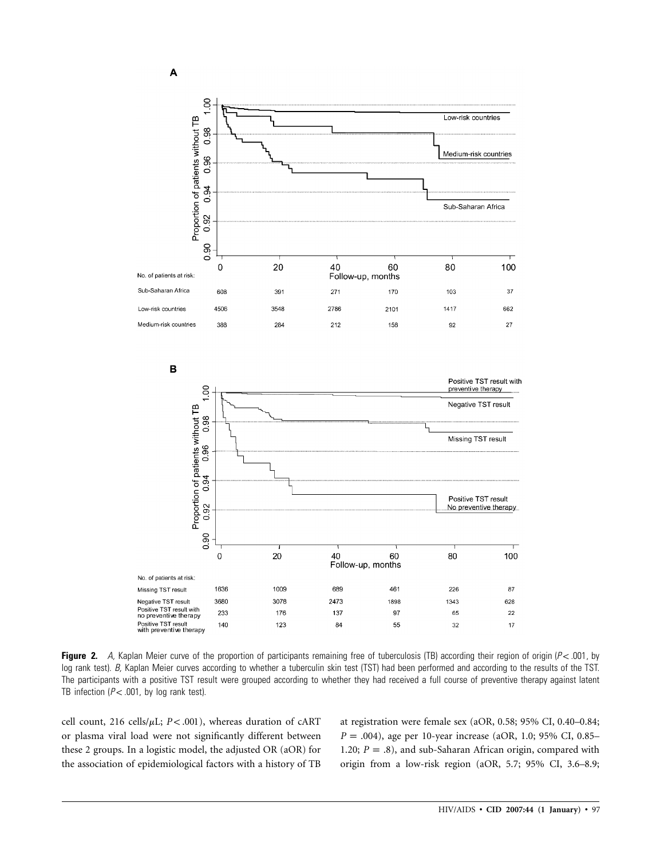

B



**Figure 2.** *A,* Kaplan Meier curve of the proportion of participants remaining free of tuberculosis (TB) according their region of origin ( $P < .001$ , by log rank test). B, Kaplan Meier curves according to whether a tuberculin skin test (TST) had been performed and according to the results of the TST. The participants with a positive TST result were grouped according to whether they had received a full course of preventive therapy against latent TB infection ( $P < .001$ , by log rank test).

cell count, 216 cells/ $\mu$ L;  $P < .001$ ), whereas duration of cART or plasma viral load were not significantly different between these 2 groups. In a logistic model, the adjusted OR (aOR) for the association of epidemiological factors with a history of TB at registration were female sex (aOR, 0.58; 95% CI, 0.40–0.84;  $P = .004$ ), age per 10-year increase (aOR, 1.0; 95% CI, 0.85– 1.20;  $P = .8$ ), and sub-Saharan African origin, compared with origin from a low-risk region (aOR, 5.7; 95% CI, 3.6–8.9;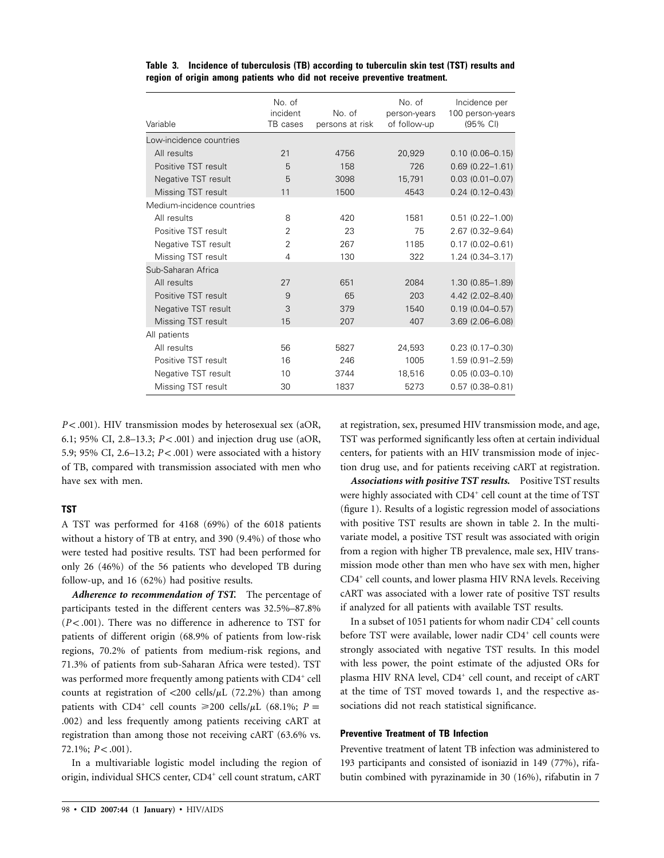| Variable                   | No. of<br>incident<br>TB cases | No. of<br>persons at risk | No. of<br>person-years<br>of follow-up | Incidence per<br>100 person-years<br>(95% CI) |
|----------------------------|--------------------------------|---------------------------|----------------------------------------|-----------------------------------------------|
| Low-incidence countries    |                                |                           |                                        |                                               |
| All results                | 21                             | 4756                      | 20,929                                 | $0.10(0.06 - 0.15)$                           |
| Positive TST result        | 5                              | 158                       | 726                                    | $0.69(0.22 - 1.61)$                           |
| Negative TST result        | 5                              | 3098                      | 15,791                                 | $0.03(0.01 - 0.07)$                           |
| Missing TST result         | 11                             | 1500                      | 4543                                   | $0.24(0.12 - 0.43)$                           |
| Medium-incidence countries |                                |                           |                                        |                                               |
| All results                | 8                              | 420                       | 1581                                   | $0.51(0.22 - 1.00)$                           |
| Positive TST result        | $\overline{2}$                 | 23                        | 75                                     | 2.67 (0.32-9.64)                              |
| Negative TST result        | $\overline{2}$                 | 267                       | 1185                                   | $0.17(0.02 - 0.61)$                           |
| Missing TST result         | 4                              | 130                       | 322                                    | $1.24(0.34 - 3.17)$                           |
| Sub-Saharan Africa         |                                |                           |                                        |                                               |
| All results                | 27                             | 651                       | 2084                                   | 1.30 (0.85-1.89)                              |
| Positive TST result        | 9                              | 65                        | 203                                    | 4.42 (2.02-8.40)                              |
| Negative TST result        | 3                              | 379                       | 1540                                   | $0.19(0.04 - 0.57)$                           |
| Missing TST result         | 15                             | 207                       | 407                                    | $3.69(2.06 - 6.08)$                           |
| All patients               |                                |                           |                                        |                                               |
| All results                | 56                             | 5827                      | 24,593                                 | $0.23$ (0.17-0.30)                            |
| Positive TST result        | 16                             | 246                       | 1005                                   | 1.59 (0.91-2.59)                              |
| Negative TST result        | 10                             | 3744                      | 18,516                                 | $0.05(0.03 - 0.10)$                           |
| Missing TST result         | 30                             | 1837                      | 5273                                   | $0.57(0.38 - 0.81)$                           |

**Table 3. Incidence of tuberculosis (TB) according to tuberculin skin test (TST) results and region of origin among patients who did not receive preventive treatment.**

*P* < .001). HIV transmission modes by heterosexual sex (aOR, 6.1; 95% CI, 2.8–13.3;  $P < .001$  and injection drug use (aOR, 5.9; 95% CI, 2.6-13.2; *P* < .001) were associated with a history of TB, compared with transmission associated with men who have sex with men.

# **TST**

A TST was performed for 4168 (69%) of the 6018 patients without a history of TB at entry, and 390 (9.4%) of those who were tested had positive results. TST had been performed for only 26 (46%) of the 56 patients who developed TB during follow-up, and 16 (62%) had positive results.

*Adherence to recommendation of TST.* The percentage of participants tested in the different centers was 32.5%–87.8%  $(P < .001)$ . There was no difference in adherence to TST for patients of different origin (68.9% of patients from low-risk regions, 70.2% of patients from medium-risk regions, and 71.3% of patients from sub-Saharan Africa were tested). TST was performed more frequently among patients with CD4<sup>+</sup> cell counts at registration of  $\langle 200 \text{ cells/}\mu\text{L} (72.2\%)$  than among patients with CD4<sup>+</sup> cell counts  $\geq 200$  cells/ $\mu$ L (68.1%; *P* = .002) and less frequently among patients receiving cART at registration than among those not receiving cART (63.6% vs.  $72.1\%$ ;  $P < .001$ ).

In a multivariable logistic model including the region of origin, individual SHCS center, CD4<sup>+</sup> cell count stratum, cART

at registration, sex, presumed HIV transmission mode, and age, TST was performed significantly less often at certain individual centers, for patients with an HIV transmission mode of injection drug use, and for patients receiving cART at registration.

*Associations with positive TST results.* Positive TST results were highly associated with CD4<sup>+</sup> cell count at the time of TST (figure 1). Results of a logistic regression model of associations with positive TST results are shown in table 2. In the multivariate model, a positive TST result was associated with origin from a region with higher TB prevalence, male sex, HIV transmission mode other than men who have sex with men, higher CD4+ cell counts, and lower plasma HIV RNA levels. Receiving cART was associated with a lower rate of positive TST results if analyzed for all patients with available TST results.

In a subset of 1051 patients for whom nadir CD4<sup>+</sup> cell counts before TST were available, lower nadir CD4<sup>+</sup> cell counts were strongly associated with negative TST results. In this model with less power, the point estimate of the adjusted ORs for plasma HIV RNA level, CD4<sup>+</sup> cell count, and receipt of cART at the time of TST moved towards 1, and the respective associations did not reach statistical significance.

## **Preventive Treatment of TB Infection**

Preventive treatment of latent TB infection was administered to 193 participants and consisted of isoniazid in 149 (77%), rifabutin combined with pyrazinamide in 30 (16%), rifabutin in 7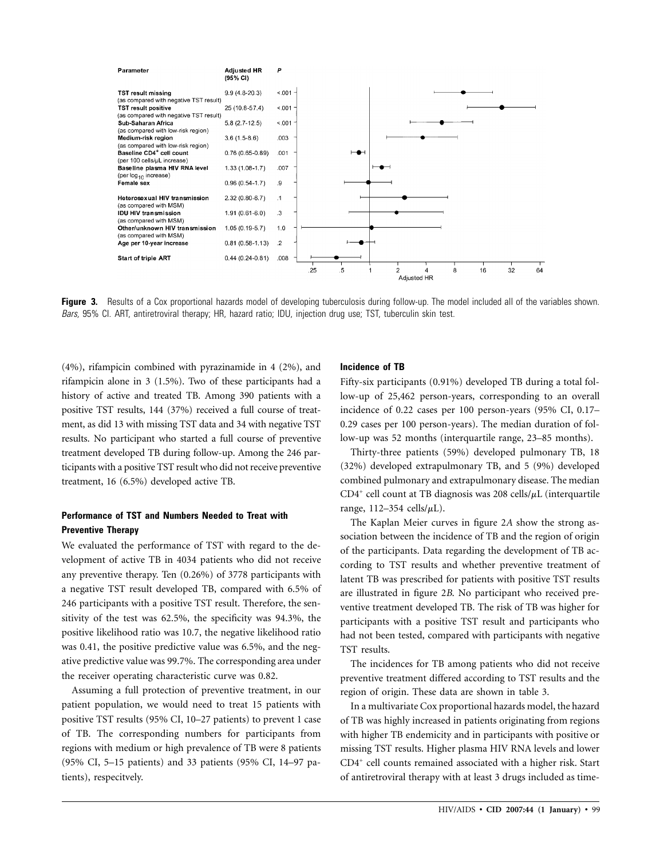

Figure 3. Results of a Cox proportional hazards model of developing tuberculosis during follow-up. The model included all of the variables shown. *Bars,* 95% CI. ART, antiretroviral therapy; HR, hazard ratio; IDU, injection drug use; TST, tuberculin skin test.

(4%), rifampicin combined with pyrazinamide in 4 (2%), and rifampicin alone in 3 (1.5%). Two of these participants had a history of active and treated TB. Among 390 patients with a positive TST results, 144 (37%) received a full course of treatment, as did 13 with missing TST data and 34 with negative TST results. No participant who started a full course of preventive treatment developed TB during follow-up. Among the 246 participants with a positive TST result who did not receive preventive treatment, 16 (6.5%) developed active TB.

# **Performance of TST and Numbers Needed to Treat with Preventive Therapy**

We evaluated the performance of TST with regard to the development of active TB in 4034 patients who did not receive any preventive therapy. Ten (0.26%) of 3778 participants with a negative TST result developed TB, compared with 6.5% of 246 participants with a positive TST result. Therefore, the sensitivity of the test was 62.5%, the specificity was 94.3%, the positive likelihood ratio was 10.7, the negative likelihood ratio was 0.41, the positive predictive value was 6.5%, and the negative predictive value was 99.7%. The corresponding area under the receiver operating characteristic curve was 0.82.

Assuming a full protection of preventive treatment, in our patient population, we would need to treat 15 patients with positive TST results (95% CI, 10–27 patients) to prevent 1 case of TB. The corresponding numbers for participants from regions with medium or high prevalence of TB were 8 patients (95% CI, 5–15 patients) and 33 patients (95% CI, 14–97 patients), respecitvely.

## **Incidence of TB**

Fifty-six participants (0.91%) developed TB during a total follow-up of 25,462 person-years, corresponding to an overall incidence of 0.22 cases per 100 person-years (95% CI, 0.17– 0.29 cases per 100 person-years). The median duration of follow-up was 52 months (interquartile range, 23–85 months).

Thirty-three patients (59%) developed pulmonary TB, 18 (32%) developed extrapulmonary TB, and 5 (9%) developed combined pulmonary and extrapulmonary disease. The median  $CD4^+$  cell count at TB diagnosis was 208 cells/ $\mu$ L (interquartile range,  $112-354$  cells/ $\mu$ L).

The Kaplan Meier curves in figure 2*A* show the strong association between the incidence of TB and the region of origin of the participants. Data regarding the development of TB according to TST results and whether preventive treatment of latent TB was prescribed for patients with positive TST results are illustrated in figure 2*B*. No participant who received preventive treatment developed TB. The risk of TB was higher for participants with a positive TST result and participants who had not been tested, compared with participants with negative TST results.

The incidences for TB among patients who did not receive preventive treatment differed according to TST results and the region of origin. These data are shown in table 3.

In a multivariate Cox proportional hazards model, the hazard of TB was highly increased in patients originating from regions with higher TB endemicity and in participants with positive or missing TST results. Higher plasma HIV RNA levels and lower CD4+ cell counts remained associated with a higher risk. Start of antiretroviral therapy with at least 3 drugs included as time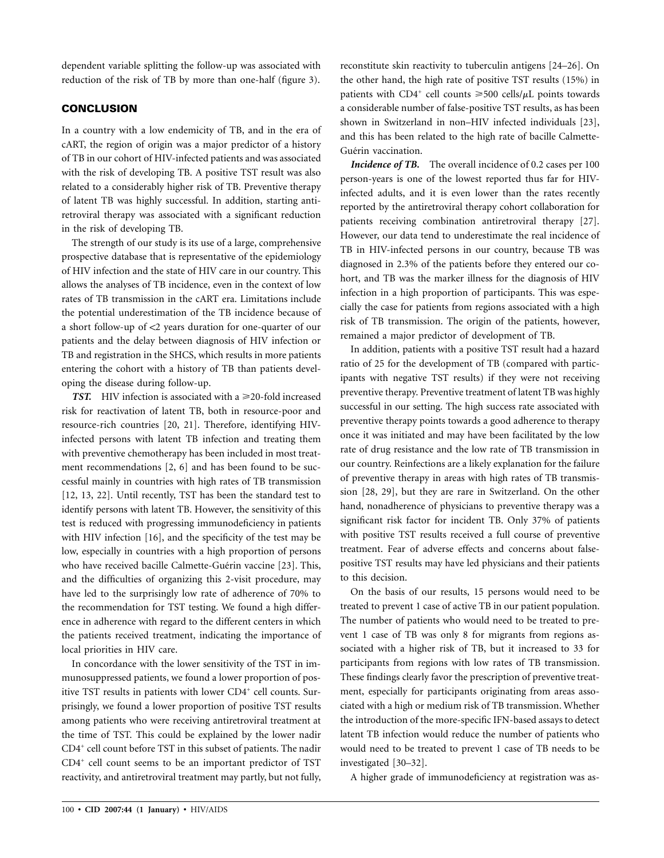dependent variable splitting the follow-up was associated with reduction of the risk of TB by more than one-half (figure 3).

# **CONCLUSION**

In a country with a low endemicity of TB, and in the era of cART, the region of origin was a major predictor of a history of TB in our cohort of HIV-infected patients and was associated with the risk of developing TB. A positive TST result was also related to a considerably higher risk of TB. Preventive therapy of latent TB was highly successful. In addition, starting antiretroviral therapy was associated with a significant reduction in the risk of developing TB.

The strength of our study is its use of a large, comprehensive prospective database that is representative of the epidemiology of HIV infection and the state of HIV care in our country. This allows the analyses of TB incidence, even in the context of low rates of TB transmission in the cART era. Limitations include the potential underestimation of the TB incidence because of a short follow-up of <2 years duration for one-quarter of our patients and the delay between diagnosis of HIV infection or TB and registration in the SHCS, which results in more patients entering the cohort with a history of TB than patients developing the disease during follow-up.

*TST.* HIV infection is associated with a  $\geq 20$ -fold increased risk for reactivation of latent TB, both in resource-poor and resource-rich countries [20, 21]. Therefore, identifying HIVinfected persons with latent TB infection and treating them with preventive chemotherapy has been included in most treatment recommendations [2, 6] and has been found to be successful mainly in countries with high rates of TB transmission [12, 13, 22]. Until recently, TST has been the standard test to identify persons with latent TB. However, the sensitivity of this test is reduced with progressing immunodeficiency in patients with HIV infection [16], and the specificity of the test may be low, especially in countries with a high proportion of persons who have received bacille Calmette-Guérin vaccine [23]. This, and the difficulties of organizing this 2-visit procedure, may have led to the surprisingly low rate of adherence of 70% to the recommendation for TST testing. We found a high difference in adherence with regard to the different centers in which the patients received treatment, indicating the importance of local priorities in HIV care.

In concordance with the lower sensitivity of the TST in immunosuppressed patients, we found a lower proportion of positive TST results in patients with lower CD4<sup>+</sup> cell counts. Surprisingly, we found a lower proportion of positive TST results among patients who were receiving antiretroviral treatment at the time of TST. This could be explained by the lower nadir CD4+ cell count before TST in this subset of patients. The nadir CD4+ cell count seems to be an important predictor of TST reactivity, and antiretroviral treatment may partly, but not fully,

reconstitute skin reactivity to tuberculin antigens [24–26]. On the other hand, the high rate of positive TST results (15%) in patients with CD4<sup>+</sup> cell counts  $\geq 500$  cells/ $\mu$ L points towards a considerable number of false-positive TST results, as has been shown in Switzerland in non–HIV infected individuals [23], and this has been related to the high rate of bacille Calmette-Guérin vaccination.

**Incidence of TB.** The overall incidence of 0.2 cases per 100 person-years is one of the lowest reported thus far for HIVinfected adults, and it is even lower than the rates recently reported by the antiretroviral therapy cohort collaboration for patients receiving combination antiretroviral therapy [27]. However, our data tend to underestimate the real incidence of TB in HIV-infected persons in our country, because TB was diagnosed in 2.3% of the patients before they entered our cohort, and TB was the marker illness for the diagnosis of HIV infection in a high proportion of participants. This was especially the case for patients from regions associated with a high risk of TB transmission. The origin of the patients, however, remained a major predictor of development of TB.

In addition, patients with a positive TST result had a hazard ratio of 25 for the development of TB (compared with participants with negative TST results) if they were not receiving preventive therapy. Preventive treatment of latent TB was highly successful in our setting. The high success rate associated with preventive therapy points towards a good adherence to therapy once it was initiated and may have been facilitated by the low rate of drug resistance and the low rate of TB transmission in our country. Reinfections are a likely explanation for the failure of preventive therapy in areas with high rates of TB transmission [28, 29], but they are rare in Switzerland. On the other hand, nonadherence of physicians to preventive therapy was a significant risk factor for incident TB. Only 37% of patients with positive TST results received a full course of preventive treatment. Fear of adverse effects and concerns about falsepositive TST results may have led physicians and their patients to this decision.

On the basis of our results, 15 persons would need to be treated to prevent 1 case of active TB in our patient population. The number of patients who would need to be treated to prevent 1 case of TB was only 8 for migrants from regions associated with a higher risk of TB, but it increased to 33 for participants from regions with low rates of TB transmission. These findings clearly favor the prescription of preventive treatment, especially for participants originating from areas associated with a high or medium risk of TB transmission. Whether the introduction of the more-specific IFN-based assays to detect latent TB infection would reduce the number of patients who would need to be treated to prevent 1 case of TB needs to be investigated [30–32].

A higher grade of immunodeficiency at registration was as-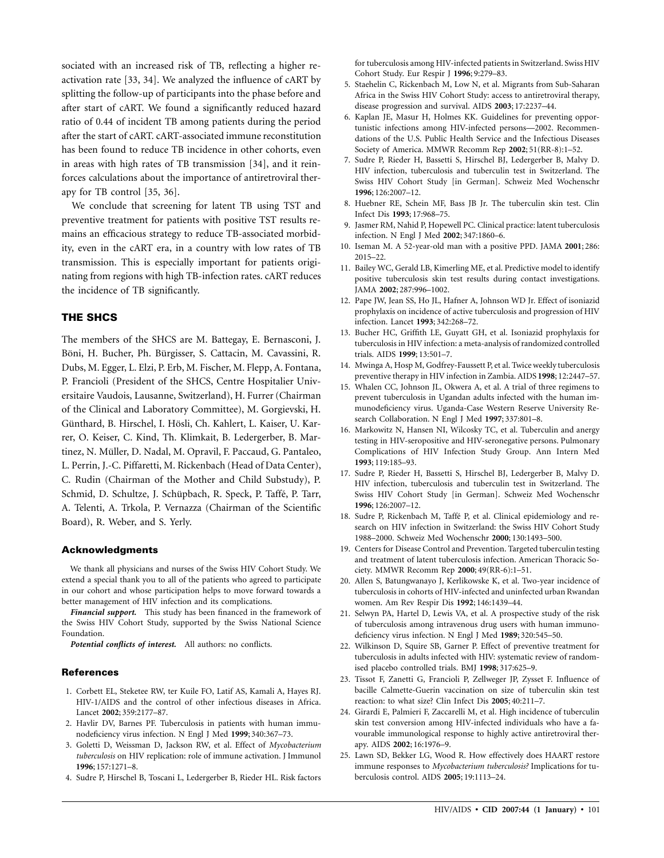sociated with an increased risk of TB, reflecting a higher reactivation rate [33, 34]. We analyzed the influence of cART by splitting the follow-up of participants into the phase before and after start of cART. We found a significantly reduced hazard ratio of 0.44 of incident TB among patients during the period after the start of cART. cART-associated immune reconstitution has been found to reduce TB incidence in other cohorts, even in areas with high rates of TB transmission [34], and it reinforces calculations about the importance of antiretroviral therapy for TB control [35, 36].

We conclude that screening for latent TB using TST and preventive treatment for patients with positive TST results remains an efficacious strategy to reduce TB-associated morbidity, even in the cART era, in a country with low rates of TB transmission. This is especially important for patients originating from regions with high TB-infection rates. cART reduces the incidence of TB significantly.

#### **THE SHCS**

The members of the SHCS are M. Battegay, E. Bernasconi, J. Böni, H. Bucher, Ph. Bürgisser, S. Cattacin, M. Cavassini, R. Dubs, M. Egger, L. Elzi, P. Erb, M. Fischer, M. Flepp, A. Fontana, P. Francioli (President of the SHCS, Centre Hospitalier Universitaire Vaudois, Lausanne, Switzerland), H. Furrer (Chairman of the Clinical and Laboratory Committee), M. Gorgievski, H. Günthard, B. Hirschel, I. Hösli, Ch. Kahlert, L. Kaiser, U. Karrer, O. Keiser, C. Kind, Th. Klimkait, B. Ledergerber, B. Martinez, N. Müller, D. Nadal, M. Opravil, F. Paccaud, G. Pantaleo, L. Perrin, J.-C. Piffaretti, M. Rickenbach (Head of Data Center), C. Rudin (Chairman of the Mother and Child Substudy), P. Schmid, D. Schultze, J. Schüpbach, R. Speck, P. Taffé, P. Tarr, A. Telenti, A. Trkola, P. Vernazza (Chairman of the Scientific Board), R. Weber, and S. Yerly.

#### **Acknowledgments**

We thank all physicians and nurses of the Swiss HIV Cohort Study. We extend a special thank you to all of the patients who agreed to participate in our cohort and whose participation helps to move forward towards a better management of HIV infection and its complications.

*Financial support.* This study has been financed in the framework of the Swiss HIV Cohort Study, supported by the Swiss National Science Foundation.

*Potential conflicts of interest.* All authors: no conflicts.

#### **References**

- 1. Corbett EL, Steketee RW, ter Kuile FO, Latif AS, Kamali A, Hayes RJ. HIV-1/AIDS and the control of other infectious diseases in Africa. Lancet **2002**; 359:2177–87.
- 2. Havlir DV, Barnes PF. Tuberculosis in patients with human immunodeficiency virus infection. N Engl J Med **1999**; 340:367–73.
- 3. Goletti D, Weissman D, Jackson RW, et al. Effect of *Mycobacterium tuberculosis* on HIV replication: role of immune activation. J Immunol **1996**; 157:1271–8.
- 4. Sudre P, Hirschel B, Toscani L, Ledergerber B, Rieder HL. Risk factors

for tuberculosis among HIV-infected patients in Switzerland. Swiss HIV Cohort Study. Eur Respir J **1996**; 9:279–83.

- 5. Staehelin C, Rickenbach M, Low N, et al. Migrants from Sub-Saharan Africa in the Swiss HIV Cohort Study: access to antiretroviral therapy, disease progression and survival. AIDS **2003**; 17:2237–44.
- 6. Kaplan JE, Masur H, Holmes KK. Guidelines for preventing opportunistic infections among HIV-infected persons—2002. Recommendations of the U.S. Public Health Service and the Infectious Diseases Society of America. MMWR Recomm Rep **2002**; 51(RR-8):1–52.
- 7. Sudre P, Rieder H, Bassetti S, Hirschel BJ, Ledergerber B, Malvy D. HIV infection, tuberculosis and tuberculin test in Switzerland. The Swiss HIV Cohort Study [in German]. Schweiz Med Wochenschr **1996**; 126:2007–12.
- 8. Huebner RE, Schein MF, Bass JB Jr. The tuberculin skin test. Clin Infect Dis **1993**; 17:968–75.
- 9. Jasmer RM, Nahid P, Hopewell PC. Clinical practice: latent tuberculosis infection. N Engl J Med **2002**; 347:1860–6.
- 10. Iseman M. A 52-year-old man with a positive PPD. JAMA **2001**; 286: 2015–22.
- 11. Bailey WC, Gerald LB, Kimerling ME, et al. Predictive model to identify positive tuberculosis skin test results during contact investigations. JAMA **2002**; 287:996–1002.
- 12. Pape JW, Jean SS, Ho JL, Hafner A, Johnson WD Jr. Effect of isoniazid prophylaxis on incidence of active tuberculosis and progression of HIV infection. Lancet **1993**; 342:268–72.
- 13. Bucher HC, Griffith LE, Guyatt GH, et al. Isoniazid prophylaxis for tuberculosis in HIV infection: a meta-analysis of randomized controlled trials. AIDS **1999**; 13:501–7.
- 14. Mwinga A, Hosp M, Godfrey-Faussett P, et al. Twice weekly tuberculosis preventive therapy in HIV infection in Zambia. AIDS **1998**; 12:2447–57.
- 15. Whalen CC, Johnson JL, Okwera A, et al. A trial of three regimens to prevent tuberculosis in Ugandan adults infected with the human immunodeficiency virus. Uganda-Case Western Reserve University Research Collaboration. N Engl J Med **1997**; 337:801–8.
- 16. Markowitz N, Hansen NI, Wilcosky TC, et al. Tuberculin and anergy testing in HIV-seropositive and HIV-seronegative persons. Pulmonary Complications of HIV Infection Study Group. Ann Intern Med **1993**; 119:185–93.
- 17. Sudre P, Rieder H, Bassetti S, Hirschel BJ, Ledergerber B, Malvy D. HIV infection, tuberculosis and tuberculin test in Switzerland. The Swiss HIV Cohort Study [in German]. Schweiz Med Wochenschr **1996**; 126:2007–12.
- 18. Sudre P, Rickenbach M, Taffé P, et al. Clinical epidemiology and research on HIV infection in Switzerland: the Swiss HIV Cohort Study 1988–2000. Schweiz Med Wochenschr **2000**; 130:1493–500.
- 19. Centers for Disease Control and Prevention. Targeted tuberculin testing and treatment of latent tuberculosis infection. American Thoracic Society. MMWR Recomm Rep **2000**; 49(RR-6):1–51.
- 20. Allen S, Batungwanayo J, Kerlikowske K, et al. Two-year incidence of tuberculosis in cohorts of HIV-infected and uninfected urban Rwandan women. Am Rev Respir Dis **1992**; 146:1439–44.
- 21. Selwyn PA, Hartel D, Lewis VA, et al. A prospective study of the risk of tuberculosis among intravenous drug users with human immunodeficiency virus infection. N Engl J Med **1989**; 320:545–50.
- 22. Wilkinson D, Squire SB, Garner P. Effect of preventive treatment for tuberculosis in adults infected with HIV: systematic review of randomised placebo controlled trials. BMJ **1998**; 317:625–9.
- 23. Tissot F, Zanetti G, Francioli P, Zellweger JP, Zysset F. Influence of bacille Calmette-Guerin vaccination on size of tuberculin skin test reaction: to what size? Clin Infect Dis **2005**; 40:211–7.
- 24. Girardi E, Palmieri F, Zaccarelli M, et al. High incidence of tuberculin skin test conversion among HIV-infected individuals who have a favourable immunological response to highly active antiretroviral therapy. AIDS **2002**; 16:1976–9.
- 25. Lawn SD, Bekker LG, Wood R. How effectively does HAART restore immune responses to *Mycobacterium tuberculosis?* Implications for tuberculosis control. AIDS **2005**; 19:1113–24.